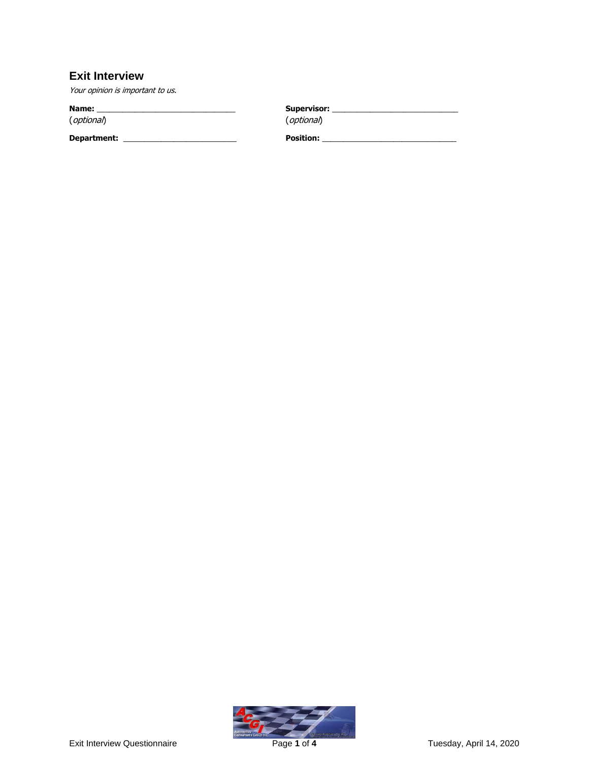## **Exit Interview**

Your opinion is important to us.

**Name:** \_\_\_\_\_\_\_\_\_\_\_\_\_\_\_\_\_\_\_\_\_\_\_\_\_\_\_\_\_\_\_\_\_ **Supervisor:** \_\_\_\_\_\_\_\_\_\_\_\_\_\_\_\_\_\_\_\_\_\_\_\_\_\_\_\_\_\_ (optional) (optional) **Department:** \_\_\_\_\_\_\_\_\_\_\_\_\_\_\_\_\_\_\_\_\_\_\_\_\_\_\_ **Position:** \_\_\_\_\_\_\_\_\_\_\_\_\_\_\_\_\_\_\_\_\_\_\_\_\_\_\_\_\_\_\_\_

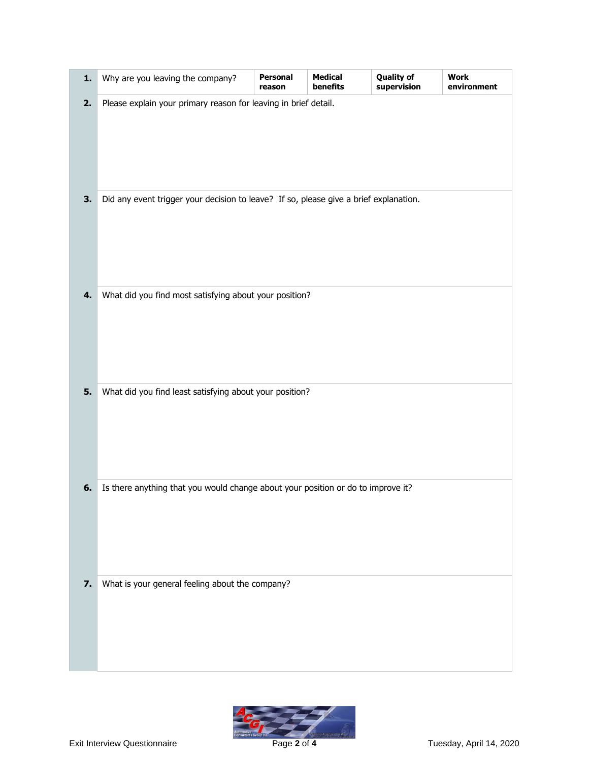| 1. | Why are you leaving the company?                                                      | Personal<br>reason | <b>Medical</b><br>benefits | <b>Quality of</b><br>supervision | <b>Work</b><br>environment |
|----|---------------------------------------------------------------------------------------|--------------------|----------------------------|----------------------------------|----------------------------|
| 2. | Please explain your primary reason for leaving in brief detail.                       |                    |                            |                                  |                            |
| 3. | Did any event trigger your decision to leave? If so, please give a brief explanation. |                    |                            |                                  |                            |
| 4. | What did you find most satisfying about your position?                                |                    |                            |                                  |                            |
| 5. | What did you find least satisfying about your position?                               |                    |                            |                                  |                            |
| 6. | Is there anything that you would change about your position or do to improve it?      |                    |                            |                                  |                            |
| 7. | What is your general feeling about the company?                                       |                    |                            |                                  |                            |

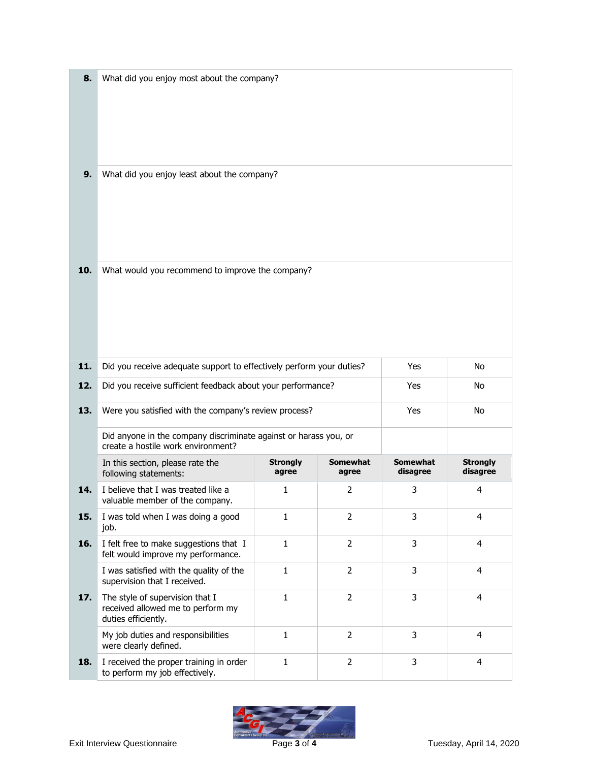| 8.  | What did you enjoy most about the company?                                                             |                                                       |                          |                             |                             |  |
|-----|--------------------------------------------------------------------------------------------------------|-------------------------------------------------------|--------------------------|-----------------------------|-----------------------------|--|
|     |                                                                                                        |                                                       |                          |                             |                             |  |
|     |                                                                                                        |                                                       |                          |                             |                             |  |
| 9.  | What did you enjoy least about the company?                                                            |                                                       |                          |                             |                             |  |
|     |                                                                                                        |                                                       |                          |                             |                             |  |
|     |                                                                                                        |                                                       |                          |                             |                             |  |
|     |                                                                                                        |                                                       |                          |                             |                             |  |
| 10. | What would you recommend to improve the company?                                                       |                                                       |                          |                             |                             |  |
|     |                                                                                                        |                                                       |                          |                             |                             |  |
|     |                                                                                                        |                                                       |                          |                             |                             |  |
|     |                                                                                                        |                                                       |                          |                             |                             |  |
| 11. | Did you receive adequate support to effectively perform your duties?                                   |                                                       | Yes                      | No                          |                             |  |
| 12. | Did you receive sufficient feedback about your performance?                                            |                                                       |                          | Yes                         | No                          |  |
| 13. |                                                                                                        | Were you satisfied with the company's review process? |                          |                             | No                          |  |
|     | Did anyone in the company discriminate against or harass you, or<br>create a hostile work environment? |                                                       |                          |                             |                             |  |
|     | In this section, please rate the<br>following statements:                                              | <b>Strongly</b><br>agree                              | <b>Somewhat</b><br>agree | <b>Somewhat</b><br>disagree | <b>Strongly</b><br>disagree |  |
| 14. | I believe that I was treated like a<br>valuable member of the company.                                 | 1                                                     | 2                        | 3                           | 4                           |  |
| 15. | I was told when I was doing a good<br>job.                                                             | $\mathbf 1$                                           | $\overline{2}$           | 3                           | $\overline{4}$              |  |
| 16. | I felt free to make suggestions that I<br>felt would improve my performance.                           | $\mathbf 1$                                           | $\overline{2}$           | 3                           | $\overline{4}$              |  |
|     | I was satisfied with the quality of the<br>supervision that I received.                                | $\mathbf{1}$                                          | $\overline{2}$           | 3                           | $\overline{\mathbf{4}}$     |  |
| 17. | The style of supervision that I<br>received allowed me to perform my<br>duties efficiently.            | $\mathbf 1$                                           | $\overline{2}$           | 3                           | 4                           |  |
|     | My job duties and responsibilities<br>were clearly defined.                                            | $\mathbf 1$                                           | $\overline{2}$           | 3                           | $\overline{4}$              |  |
| 18. | I received the proper training in order<br>to perform my job effectively.                              | $\mathbf{1}$                                          | $\overline{2}$           | 3                           | $\overline{4}$              |  |